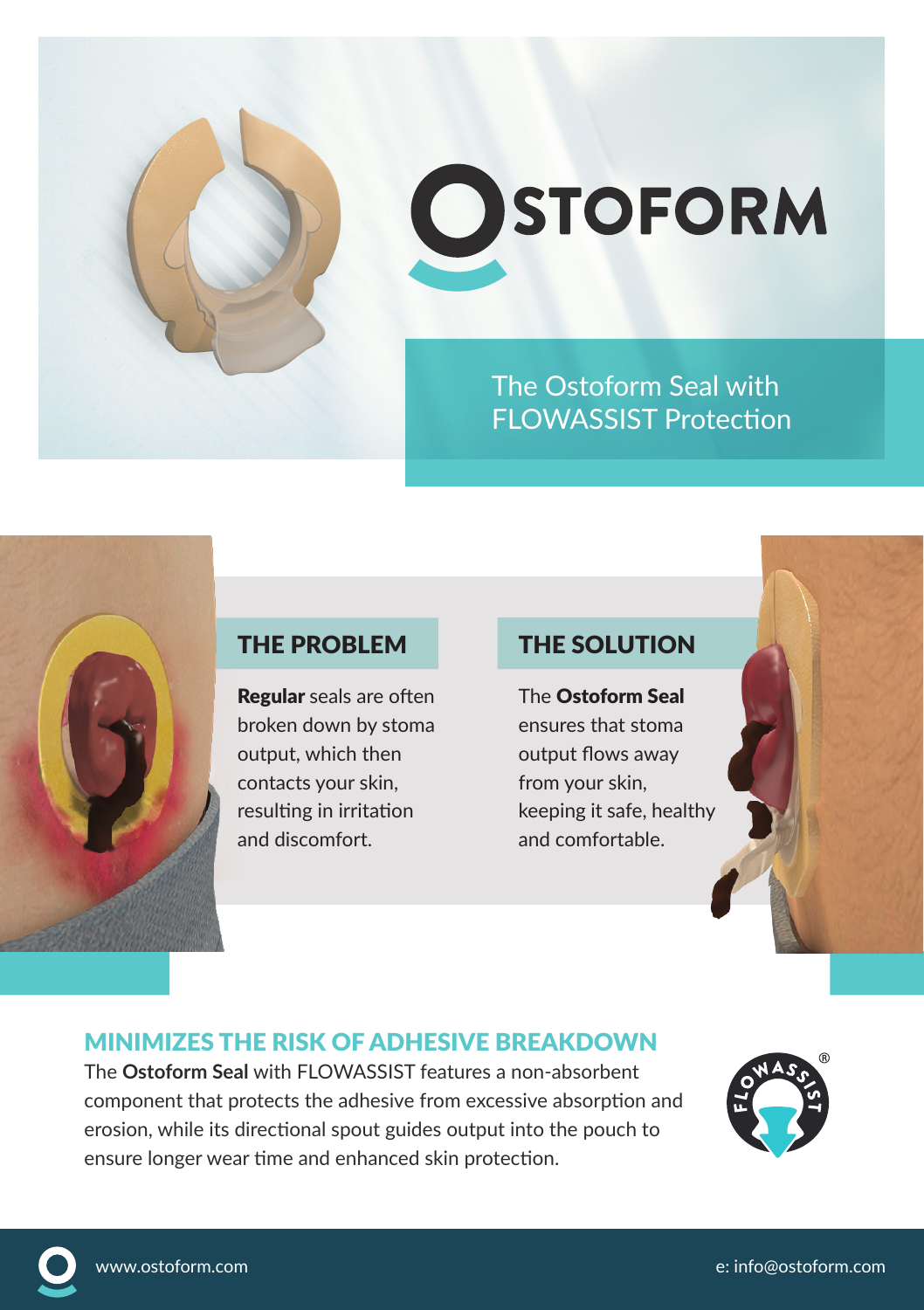

# **OSTOFORM**

The Ostoform Seal with FLOWASSIST Protection

Regular seals are often broken down by stoma output, which then contacts your skin, resulting in irritation and discomfort.

#### THE PROBLEM THE SOLUTION

The Ostoform Seal ensures that stoma output flows away from your skin, keeping it safe, healthy and comfortable.

### MINIMIZES THE RISK OF ADHESIVE BREAKDOWN

The **Ostoform Seal** with FLOWASSIST features a non-absorbent component that protects the adhesive from excessive absorption and erosion, while its directional spout guides output into the pouch to ensure longer wear time and enhanced skin protection.